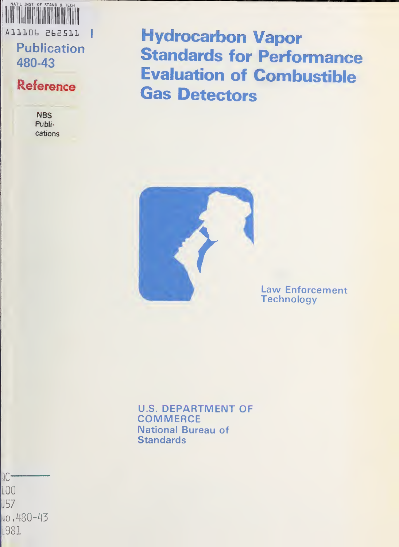

480-43

## Reference

**NBS** Publications Hydrocarbon Vapor Standards for Performance Evaluation of Combustible Gas Detectors



Law Enforcement **Technology** 

U.S. DEPARTMENT OF **COMMERCE** National Bureau of **Standards** 

 $TC -$ LOO J57  $\sqrt{480-43}$ L981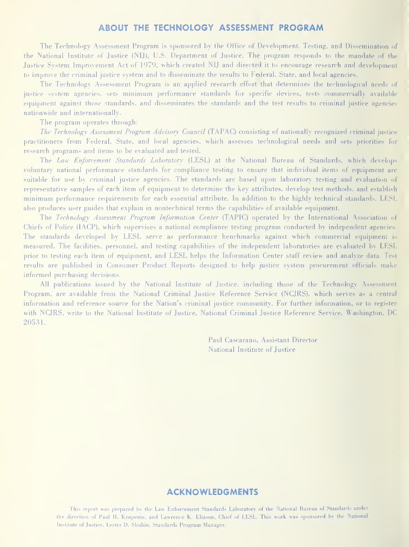#### ABOUT THE TECHNOLOGY ASSESSMENT PROGRAM

The Technology Assessment Program is sponsored by the Office of Development, Testing, and Dissemination of the National Institute of Justice (NIJ), U.S. Department of Justice. The program responds to the mandate of the Justice System Improvement Act of 1979, which created NIJ and directed it to encourage research and development to improve the criminal justice system and to disseminate the results to Federal, State, and local agencies.

The Technology Assessment Program is an applied research effort that determines the technological needs of justice system agencies, sets minimum performance standards for specific devices, tests commercially available equipment against those standards, and disseminates the standards and the test results to criminal justice agencies nationwide and internationally.

The program operates through:

The Technology Assessment Program Advisory Council (TAPAC) consisting of nationally recognized criminal justice practitioners from Federal, State, and local agencies, which assesses technological needs and sets priorities for research programs and items to be evaluated and tested.

The Law Enforcement Standards Laboratory (LESL) at the National Bureau of Standards, which develops voluntary national performance standards for compliance testing to ensure that individual items of equipment are suitable for use by criminal justice agencies. The standards are based upon laboratory testing and evaluation of representative samples of each item of equipment to determine the key attributes, develop test methods, and establish minimum [)erformance requirements for each essential attribute. In addition to the highly technical standards, LESL also produces user guides that explain in nontechnical terms the capabilities of available equipment.

The Technology Assessment Program Information Center (TAPIC) operated by the International Association of Chiefs of Police (lACP), which supervises a national compliance testing program conducted by independent agencies. The standards developed by LESL serve as performance benchmarks against which commercial equipment is measured. The facilities, personnel, and testing capabilities of the independent laboratories are evaluated by LESL prior to testing each item of equipment, and LESL helps the Information Center staff review and analyze data. Test results are published in Consumer Product Reports designed to help justice system procurement officials make informed purchasing decisions.

All publications issued by the National Institute of Justice, including those of the Technology Assessment Program, are available from the National Criminal Justice Reference Service (NCJRS), which serves as a central information and reference source for the Nation's criminal justice community. For further information, or to register with NCJRS, write to the National Institute of Justice, National Criminal Justice Reference Service, Washington, DC 20531.

> Paul Cascarano, Assistant Director National Institute of Justice

#### ACKNOWLEDGMENTS

This report was prepared by the Law Enforcement Standards Laboratory of the National Bureau of Standards under the direction of Paul H. Krupenie, and Lawrence K. Eliason, Chief of LESL. This work was sponsored by the National Institute of Justice, Lester D. Shubin, Standards Program Manager.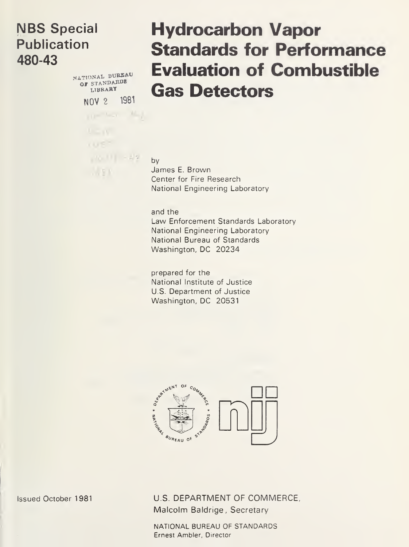## NBS Special Publication 480-43

NATIONAL BUREAU OF STANDARDS NOV <sup>2</sup> 1981

 $m = 1, n = 1, 1$ 

 $16 - 12$ 

 $1.551$ 

# Hydrocarbon Vapor Standards for Performance Evaluation of Combustible Gas Detectors

by James E. Brown Center for Fire Research National Engineering Laboratory

and the Law Enforcement Standards Laboratory National Engineering Laboratory National Bureau of Standards Washington, DC 20234

prepared for the National Institute of Justice U.S. Department of Justice Washington, DC 20531



Issued October <sup>1981</sup> U.S. DEPARTMENT OF COMMERCE, Malcolm Baldrige, Secretary

> NATIONAL BUREAU OF STANDARDS Ernest Ambler, Director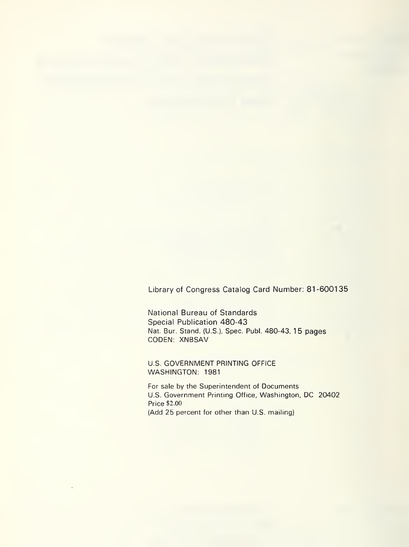Library of Congress Catalog Card Number: 81-600135

National Bureau of Standards Special Publication 480-43 Nat. Bur. Stand. (U.S.), Spec. Publ. 480-43, 15 pages CODEN; XNBSAV

U.S. GOVERNMENT PRINTING OFFICE WASHINGTON: 1981

For sale by the Superintendent of Documents U.S. Government Printing Office, Washington, DC 20402 Price \$2.00 (Add 25 percent for other than U.S. mailing)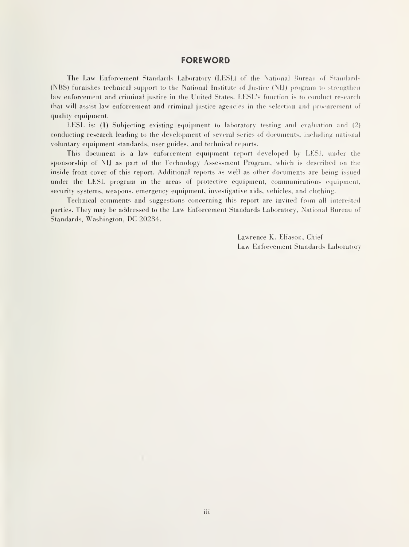#### **FOREWORD**

The Law Enforcement Standards Laboratory (LESL) of the National Bureau of Standards (NBS) furnishes technical support to the National Institute of Justice (NIJ) program to strengthen law enforcement and criminal justice in the United States. LESL's function is to conduct research that will assist law enforcement and criminal justice agencies in the selection and procurement of quality equipment.

LESL is: (1) Subjecting existing equipment to laboratory testing and evaluation and (2) conducting research leading to the development of several series of documents, including national voluntary equipment standards, user guides, and technical reports.

This document is a law enforcement equipment report developed by LESL under the sponsorship of NIJ as part of the Technology Assessment Program, which is described on the inside front cover of this report. Additional reports as well as other documents are being issued under the LESL program in the areas of protective equipment, communications equipment, security systems, weapons, emergency equipment, investigative aids, vehicles, and clothing.

Technical comments and suggestions concerning this report are invited from all interested parties. They may be addressed to the Law Enforcement Standards Laboratory, National Bureau of Standards, Washington, DC 20234.

> Lawrence K. Eliason, Chief Law Enforcement Standards Laboratory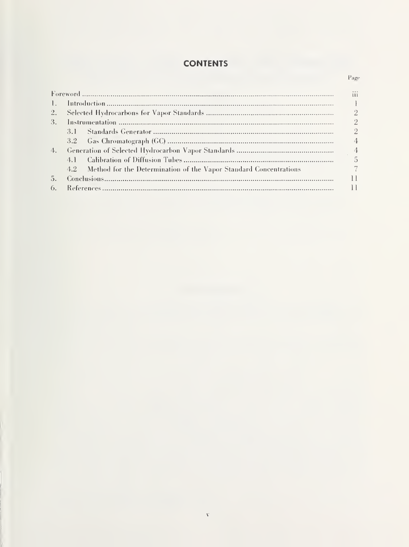### **CONTENTS**

Page

| $\mathbf{L}$ |                                                                       |  |
|--------------|-----------------------------------------------------------------------|--|
| 2.           |                                                                       |  |
| 3.           |                                                                       |  |
|              |                                                                       |  |
|              |                                                                       |  |
| 4.           |                                                                       |  |
|              |                                                                       |  |
|              | 4.2 Method for the Determination of the Vapor Standard Concentrations |  |
| 5.           |                                                                       |  |
| 6.           |                                                                       |  |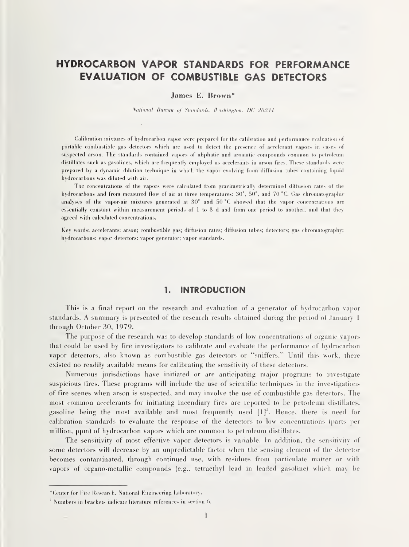## HYDROCARBON VAPOR STANDARDS FOR PERFORMANCE EVALUATION OF COMBUSTIBLE GAS DETECTORS

#### James E. Brown\*

National Bureau of Standards. Washington. DC 20234

(Calibration mixtures of hydrocarbon vapor were prepareil for the calibration and performance evaluation of portable combustible gas detectors which are used to detect the presence of accelerant vapors in cases of suspected arson. The standards contained vapors of aliphatic and aromatic compounds common to petroleum distillates such as gasolines, which are frequently employed as accelerants in arson fires. These standards were prepared by a dynamic dilution technique in which the vapor evolving from diffusion tubes containing liquid hydrocarbons was diluted with air.

The concentrations of the vapors were calculated from gravimetrically determined diffusion rates of the hydrocarbons and from measured flow of air at three temperatures: 30°, 50°, and 70 °C. Gas chromatographic analyses of the vapor-air mixtures generated at 30° and 50 °C showed that the vapor concentrations are essentially constant within measurement periods of <sup>1</sup> to 3 d and from one period to another, and that they agreed with calculated concentrations.

Key words: accelerants; arson; combustible gas; diffusion rates; diffusion tubes; detectors; gas chromatography; hydrocarbons; vapor detectors; vapor generator; vapor standards.

#### 1. INTRODUCTION

This is a final report on the research and evaluation of a generator of hydrocarbon vapor standards. A summary is presented of the research results obtained during the period of January 1 through October 30, 1979.

The purpose of the research was to develop standards of low concentrations of organic vapors that could be used by fire investigators to calibrate and evaluate the performance of hydrocarbon vapor detectors, also known as combustible gas detectors or "sniffers." Until this work, there existed no readily available means for calibrating the sensitivity of these detectors.

Numerous jurisdictions have initiated or are anticipating major programs to investigate suspicious fires. These programs will include the use of scientific techniques in the investigations of fire scenes when arson is suspected, and may involve the use of combustible gas detectors. The most common accelerants for initiating incendiary fires are reported to be petroleum distillates, gasoline being the most available and most frequently used  $[1]^1$ . Hence, there is need for calibration standards to evaluate the response of the detectors to low concentrations (parts per million, ppm) of hydrocarbon vapors which are common to petroleum distillates.

The sensitivity of most effective vapor detectors is variable. In addition, the sensitivity of some detectors will decrease by an unpredictable factor when the sensing element of the detector becomes contaminated, through continued use, with residues from particulate matter or with vapors of organo-metallic compounds (e.g., tetraethyl lead in leaded gasoline) which ina\ be

<sup>\*</sup>Onter for Fire Research, National Kngineering Laboratory.

<sup>&#</sup>x27; Numbers in brackets indicate literature references in section 6.  $\,$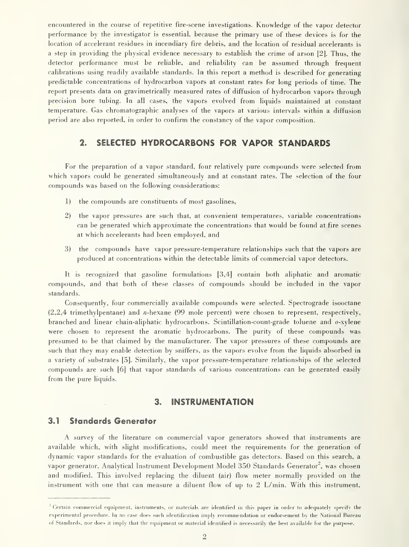encountered in the course of repetitive fire-scene investigations. Knowledge of the vapor detector performance by the investigator is essential, because the primary use of these devices is for the location of accelerant residues in incendiary fire debris, and the location of residual accelerants is a step in providing the physical evidence necessary to establish the crime of arson [2]. Thus, the detector performance must be reliable, and reliability can be assumed through frequent calibrations using readily available standards. In this report a method is described for generating predictable concentrations of hydrocarbon vapors at constant rates for long periods of time. The report presents data on gravimetrically measured rates of diffusion of hydrocarbon vapors through precision bore tubing. In all cases, the vapors evolved from liquids maintained at constant temperature. Gas chromatographic analyses of the vapors at various intervals within a diffusion period are also reported, in order to confirm the constancy of the vapor composition.

#### 2. SELECTED HYDROCARBONS FOR VAPOR STANDARDS

For the preparation of a vapor standard, four relatively pure compounds were selected from which vapors could be generated simultaneously and at constant rates. The selection of the four compounds was based on the following considerations:

- 1) the compounds are constituents of most gasolines,
- 2) the vapor pressures are such that, at convenient temperatures, variable concentrations can be generated which approximate the concentrations that would be found at fire scenes at which accelerants had been employed, and
- 3) the compounds have vapor pressure-temperature relationships such that the vapors are produced at concentrations within the detectable limits of commercial vapor detectors.

It is recognized that gasoline formulations [3,4] contain both aliphatic and aromatic compounds, and that both of these classes of compounds should be included in the vapor standards.

Consequently, four commercially available compounds were selected. Spectrograde isooctane (2,2,4 trimethylpentane) and «-hexane (99 mole percent) were chosen to represent, respectively, branched and linear chain-aliphatic hydrocarbons. Scintillation-count-grade toluene and o-xylene were chosen to represent the aromatic hydrocarbons. The purity of these compounds was presumed to be that claimed by the manufacturer. The vapor pressures of these compounds are such that they may enable detection by sniffers, as the vapors evolve from the liquids absorbed in a variety of substrates [5]. Similarly, the vapor pressure-temperature relationships of the selected compounds are such [6] that vapor standards of various concentrations can be generated easily from the pure liquids.

#### 3. INSTRUMENTATION

#### 3.1 Standards Generator

A survey of the literature on commercial vapor generators showed that instruments are available which, with slight modifications, could meet the requirements for the generation of dynamic vapor standards for the evaluation of combustible gas detectors. Based on this search, a vapor generator, Analytical Instrument Development Model 350 Standards Generator<sup>2</sup>, was chosen and modified. This involved replacing the diluent (air) flow meter normally provided on the instrument with one that can measure a diluent flow of up to 2 L/min. With this instrument,

 $2^{\circ}$  Certain commercial equipment, instruments, or materials are identified in this paper in order to adequately specify the experimental procedure. In no case does such identification imply recommendation or endorsement by the National Bureau of Standards, nor does itimply that the equipment or material identified is necessarily the best available for the purpose.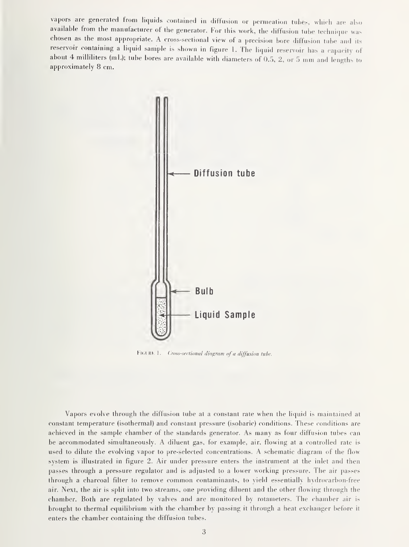vapors are generated from liquids contained in diffusion or permeation tubes, which are also available from the manufacturer of the generator. For this work, the diffusion tube technique was chosen as the most appropriate. A cross-sectional view of <sup>a</sup> precision bore diffusion tube and its reservoir containing <sup>a</sup> liquid sample is shown in figure 1. The liquid reservoir has <sup>a</sup> capacity of about 4 milliliters (mL); tube bores are available with diameters of 0.5, 2, or 5 mm and lengths to approximately 8 cm.



FIGURE 1. Cross-sectional diagram of a diffusion tube.

Vapors evolve through the diffusion tube at a constant rate when the liquid is maintained at constant temperature (isothermal) and constant pressure (isobaric) conditions. These conditions are achieved in the sample chamber of the standards generator. As many as four diffusion tubes can be accommodated simultaneously. A diluent gas, for example, air, flowing at <sup>a</sup> controlled rate is used to dilute the evolving vapor to pre-selected concentrations. A schematic diagram of the flow system is illustrated in figure 2. Air under pressure enters the instrument at the inlet and then passes through a pressure regulator and is adjusted to a lower working pressure. The air passes through <sup>a</sup> charcoal filter to remove common contaminants, to yield essentially hydrocarbon-free air. Next, the air is split into two streams, one providing diluent and the other flowing through the chamber. Both are regulated by valves and are monitored by rotameters. The chamber air is brought to thermal equilibrium with the chamber by passing it through a heat exchanger before it enters the chamber containing the diffusion tubes.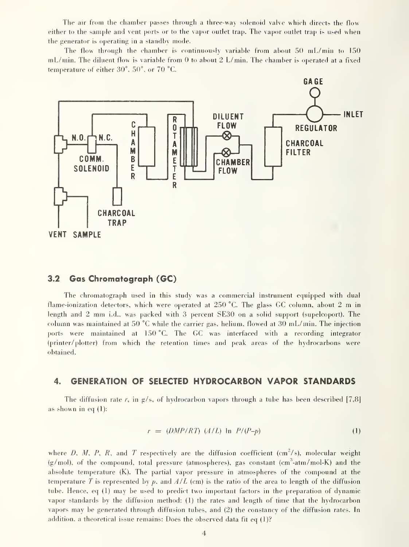The air from the chamber passes through <sup>a</sup> three-way solenoid valve which directs the flow either to the sample and vent ports or to the vapor outlet trap. The vapor outlet trap is used when the generator is operating in a standby mode.

The flow through the chamber is continuously variable from about  $50 \text{ mL/min}$  to  $150$ mL/min. The diluent flow is variable from 0 to about 2 L/min. The chamber is operated at a fixed temperature of either 30°, 50°, or 70 °C.



#### 3.2 Gas Chromatograph (GC)

The chromatograph used in this study was a commercial instrument equipped with dual flame-ionization detectors, which were operated at 250 °C. The glass GC column, about 2 m in length and <sup>2</sup> mm i.d., was packed with <sup>3</sup> percent SE30 on <sup>a</sup> solid support (supelcoport). The column was maintained at 50 °C while the carrier gas, helium, flowed at 30 mL/min. The injection ports were maintained at 150 °C. The GC was interfaced with <sup>a</sup> recording integrator (printer/ plotter) from which the retention times and peak areas of the hydrocarbons were obtained.

#### 4. GENERATION OF SELECTED HYDROCARBON VAPOR STANDARDS

The diffusion rate r, in  $g/s$ , of hydrocarbon vapors through a tube has been described [7,8] as shown in eq  $(1)$ :

$$
r = (DMP/RT) (A/L) \ln P/(P-p)
$$
 (1)

where D, M, P, R, and T respectively are the diffusion coefficient  $(\text{cm}^2/\text{s})$ , molecular weight  $(g/mol)$ , of the compound, total pressure (atmospheres), gas constant  $(cm<sup>3</sup>-atm/mol-K)$  and the absolute temperature (K). The partial vapor pressure in atmospheres of the compound at the temperature T is represented by p, and  $A/L$  (cm) is the ratio of the area to length of the diffusion tube. Hence, eq (1) may be used to predict two important factors in the preparation of dynamic vapor standards by the diffusion method: (1) the rates and length of time that the hydrocarbon vapors may be generated through diffusion tubes, and (2) the constancy of the diffusion rates. In addition, a theoretical issue remains: Does the observed data fit eq (1)?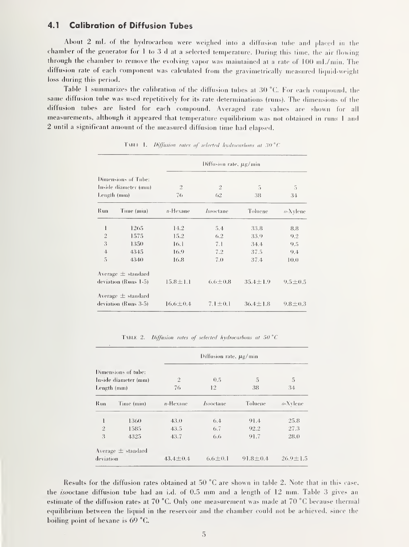#### $4.1$ **Calibration of Diffusion Tubes**

About 2 mL of the hydrocarbon were weighed into a diffusion tube and placed in the chamber of the generator for 1 to 3 d at a selected temperature. During this time, the air flowing through the chamber to remove the evolving vapor was maintained at a rate of  $100 \text{ mL/min}$ . The diffusion rate of each component was calculated from the gravimetrically measured liquid-weight loss during this period.

Table 1 summarizes the calibration of the diffusion tubes at 30 °C. For each compound, the same diffusion tube was used repetitively for its rate determinations (runs). The dimensions of the diffusion tubes are listed for each compound. Averaged rate values are shown for all measurements, although it appeared that temperature equilibrium was not obtained in runs 1 and 2 until a significant amount of the measured diffusion time had elapsed.

|                                                            |                        | Diffusion rate, µg/min |                      |                |               |  |  |
|------------------------------------------------------------|------------------------|------------------------|----------------------|----------------|---------------|--|--|
| Dimensions of Tube:<br>Inside diameter (mm)<br>Length (mm) |                        | $\overline{2}$<br>76   | $\mathfrak{2}$<br>62 | 5<br>38        | 5<br>34       |  |  |
| Run                                                        | Time (min)             | $n$ -Hexane            | <i>Isooctane</i>     | Toluene        | $o$ -Xylene   |  |  |
| ł                                                          | 1265                   | 14.2                   | 5.4                  | 33.8           | 8.8           |  |  |
| $\sqrt{2}$                                                 | 1575                   | 15.2                   | 6.2                  | 33.9           | 9.2           |  |  |
| 3                                                          | 1350                   | 16.1                   | 7.1                  | 34.4           | 9.5           |  |  |
| $\overline{4}$                                             | 4345                   | 16.9                   | 7.2                  | 37.5           | 9.4           |  |  |
| 5                                                          | 4340                   | 16.8                   | 7.0                  | 37.4           | 10.0          |  |  |
|                                                            | Average $\pm$ standard |                        |                      |                |               |  |  |
|                                                            | deviation (Runs 1-5)   | $15.8 \pm 1.1$         | $6.6 \pm 0.8$        | $35.4 \pm 1.9$ | $9.5 \pm 0.5$ |  |  |
|                                                            | Average $\pm$ standard |                        |                      |                |               |  |  |
| deviation (Runs 3-5)                                       |                        | $16.6 \pm 0.4$         | $7.1 \pm 0.1$        | $36.4 \pm 1.8$ | $9.8 \pm 0.3$ |  |  |

TABLE 1. Diffusion rates of selected hydrocarbons at 30  $^{\circ}$ C

TABLE 2. Diffusion rates of selected hydrocarbons at 50  $^{\circ}$ C

|                                     |                        |                | Diffusion rate, $\mu$ g/min |                |                |
|-------------------------------------|------------------------|----------------|-----------------------------|----------------|----------------|
| Dimensions of tube:                 |                        |                |                             |                |                |
| Inside diameter (mm)<br>Length (mm) |                        | $\overline{2}$ | 0.5                         | 5              | 5              |
|                                     |                        | 76             | 12                          | 38             | 34             |
| Run                                 | Time (min)             | $n$ -Hexane    | <i>Isooctane</i>            | Toluene        | $o$ -Xylene    |
| $\mathbf{I}$                        | 1360                   | 43.0           | 6.4                         | 91.4           | 25.8           |
| $\tilde{2}$                         | 1585                   | 43.5           | 6.7                         | 92.2           | 27.3           |
| $\overline{3}$                      | 4325                   | 43.7           | 6.6                         | 91.7           | 28.0           |
|                                     | Average $\pm$ standard |                |                             |                |                |
| deviation                           |                        | $43.4 \pm 0.4$ | $6.6 \pm 0.1$               | $91.8 \pm 0.4$ | $26.9 \pm 1.5$ |

Results for the diffusion rates obtained at 50 °C are shown in table 2. Note that in this case, the *isooctane* diffusion tube had an i.d. of 0.5 mm and a length of 12 mm. Table 3 gives an estimate of the diffusion rates at 70 °C. Only one measurement was made at 70 °C because thermal equilibrium between the liquid in the reservoir and the chamber could not be achieved, since the boiling point of hexane is 69 °C.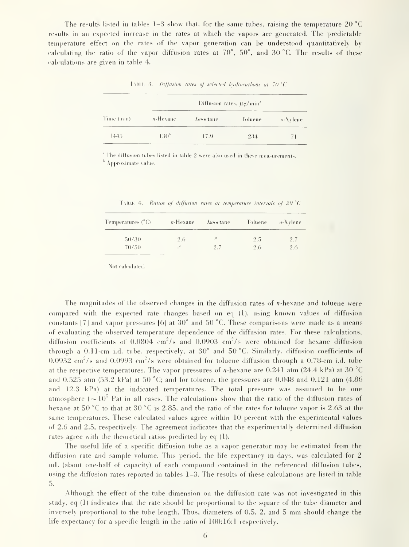The results listed in tables 1–3 show that, for the same tubes, raising the temperature 20  $^{\circ}$ C results in an expected increase in the rates at which the vapors are generated. The predictable temperature effect on the rates of the vapor generation can be understood quantitatively by calculating the ratio of the vapor diffusion rates at  $70^{\circ}$ ,  $50^{\circ}$ , and  $30^{\circ}$ C. The results of these calculations are given in table 4.

|            |               | Diffusion rates, µg/min <sup>*</sup> |         |                   |
|------------|---------------|--------------------------------------|---------|-------------------|
| Time (min) | n-Hexane      | <i>Isooc</i> tane                    | Toluene | $o-\lambda$ vlene |
| 1445       | $130^{\circ}$ | 17.9                                 | 234     | 71                |

TABLE 3. Diffusion rates of selected hydrocarbons at 70 °C

<sup>4</sup> The diffusion tubes listed in table 2 were also used in these measurements. <sup>h</sup> Approximate value.

TABLE 4. Ratios of diffusion rates at temperature intervals of  $20^{\circ}$ C

| Temperatures (°C) : | $n$ -Hexane                | <i>Isooctane</i> | Toluene | $o$ -Xylene |
|---------------------|----------------------------|------------------|---------|-------------|
| 50/30               | 2.6                        | $\mathbb{R}^n$   | 2.5     | 2.7         |
| 70/50               | $\overline{\phantom{a}}^1$ | 2.7              | 2.6     | 2.6         |

<sup>4</sup> Not calculated.

The magnitudes of the observed changes in the diffusion rates of *n*-hexane and toluene were compared with the expected rate changes based on eq (1), using known values of diffusion constants [7] and vapor pressures [6] at  $30^{\circ}$  and  $50^{\circ}$ C. These comparisons were made as a means of evaluating the observed temperature dependence of the diffusion rates. For these calculations, diffusion coefficients of 0.0804  $\text{cm}^2/\text{s}$  and 0.0903  $\text{cm}^2/\text{s}$  were obtained for hexane diffusion through a 0.11-cm i.d. tube, respectively, at 30° and 50 °C. Similarly, diffusion coefficients of  $0.0932$  cm<sup>2</sup>/s and  $0.0993$  cm<sup>2</sup>/s were obtained for toluene diffusion through a 0.78-cm i.d. tube at the respective temperatures. The vapor pressures of *n*-hexane are 0.241 atm (24.4 kPa) at 30 °C and 0.525 atm (53.2 kPa) at 50 °C; and for toluene, the pressures are 0.048 and 0.121 atm (4.86 and 12.3 kPa) at the indicated temperatures. The total pressure was assumed to be one atmosphere ( $\sim 10^5$  Pa) in all cases. The calculations show that the ratio of the diffusion rates of hexane at 50 °C to that at 30 °C is 2.85, and the ratio of the rates for toluene vapor is 2.63 at the same temperatures. These calculated values agree within 10 percent with the experimental values of 2.6 and 2.5, respectively. The agreement indicates that the experimentally determined diffusion rates agree with the theoretical ratios predicted by eq (1).

The useful life of a specific diffusion tube as a vapor generator may be estimated from the diffusion rate and sample volume. This period, the life expectancy in days, was calculated for 2 mL (about one-half of capacity) of each compound contained in the referenced diffusion tubes, using the diffusion rates reported in tables 1-3. The results of these calculations are listed in table 5.

Although the effect of the tube dimension on the diffusion rate was not investigated in this study, eq (1) indicates that the rate should be proportional to the square of the tube diameter and inversely proportional to the tube length. Thus, diameters of 0.5, 2, and 5 mm should change the life expectancy for a specific length in the ratio of 100:16:1 respectively.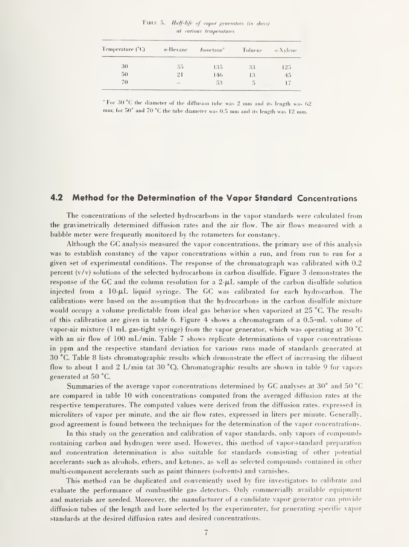TABLE 5. Half-life of vapor generators (in days) at various temperatures

| Temperature (°C) | $n$ -Hexane | <i>Isooctane</i> " | Toluene | o-Xylene |
|------------------|-------------|--------------------|---------|----------|
| 30               | 55          | 135                | 33      | 125      |
| 50               | 21          | 146                | 13      | 45       |
| 70               | $\sim$      | 53                 | 5       |          |

' For 30 °C the diameter of the diffusion 1ube was 2 mm and its length was 62  $\,$ mm; for 50° and 70 °C the tube diameter was 0.5 mm and its length was <sup>12</sup> mm.

#### 4.2 Method for the Determination of the Vapor Standard Concentrations

The concentrations of the selected hydrocarbons in the vapor standards were calculated from the gravimetrically determined diffusion rates and the air flow. The air flows measured with <sup>a</sup> bubble meter were frequently monitored by the rotameters for constancy.

Although the GC analysis measured the vapor concentrations, the primary use of this analysis was to establish constancy of the vapor concentrations within a run, and from run to run for a given set of experimental conditions. The response of the chromatograph was calibrated with 0.2 percent  $(v/v)$  solutions of the selected hydrocarbons in carbon disulfide. Figure 3 demonstrates the response of the GC and the column resolution for a  $2-\mu L$  sample of the carbon disulfide solution injected from a  $10-\mu L$  liquid syringe. The GC was calibrated for each hydrocarbon. The calibrations were based on the assumption that the hydrocarbons in the carbon disulfide mixture would occupy a volume predictable from ideal gas behavior when vaporized at 25 °C. The results of this calibration are given in table 6. Figure 4 shows a chromatogram of a 0.5-mL volume of vapor-air mixture (1 mL gas-tight syringe) from the vapor generator, which was operating at 30 °C with an air flow of 100 mL/min. Table 7 shows replicate determinations of vapor concentrations in ppm and the respective standard deviation for various runs made of standards generated at 30 °C. Table 8 lists chromatographic results which demonstrate the effect of increasing the diluent flow to about 1 and 2 L/min (at 30 °C). Chromatographic results are shown in table 9 for vapors generated at 50 °C.

Summaries of the average vapor concentrations determined by GC analyses at 30° and 50 °C are compared in table 10 with concentrations computed from the averaged diffusion rates at the respective temperatures. The computed values were derived from the diffusion rates, expressed in microliters of vapor per minute, and the air flow rates, expressed in liters per minute. Generally, good agreement is found between the techniques for the determination of the vapor concentrations.

In this study on the generation and calibration of vapor standards, only vapors of compounds containing carbon and hydrogen were used. However, this method of vapor-standard preparation and concentration determination is also suitable for standards consisting of other potential accelerants such as alcohols, ethers, and ketones, as well as selected compounds contained in other multi-component accelerants such as paint thinners (solvents) and varnishes.

This method can be duplicated and conveniently used by fire investigators to calibrate and evaluate the performance of combustible gas detectors. Only commercially available equipment and materials are needed. Moreover, the manufacturer of <sup>a</sup> candidate vapor generator can provide diffusion tubes of the length and bore selected by the experimenter, for generating specific vapor standards at the desired diffusion rates and desired concentrations.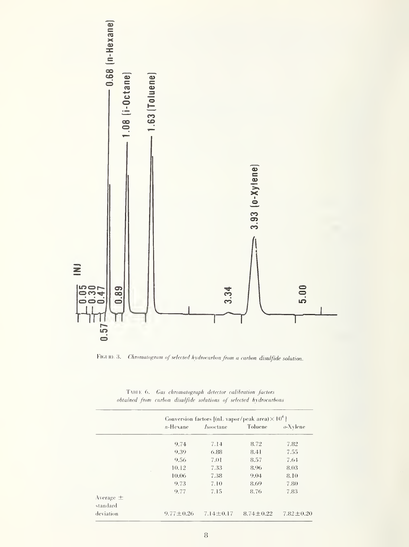

FIGURE 3. Chromatogram of selected hydrocarbon from a carbon disulfide solution.

| TABLE 6. Gas chromatograph detector calibration factors           |  |
|-------------------------------------------------------------------|--|
| obtained from cnrbon disulfide solutions of selected hydrocnrbons |  |

|                       | $n$ -Hexane     | <i>Isooctane</i> | Toluene         | $o$ -Xylene     |  |
|-----------------------|-----------------|------------------|-----------------|-----------------|--|
|                       | 9.74            | 7.14             | 8.72            | 7.82            |  |
|                       | 9.39            | 6.88             | 8.41            | 7.55            |  |
|                       | 9.56            | 7.01             | 8.57            | 7.64            |  |
|                       | 10.12           | 7.33             | 8.96            | 8.03            |  |
|                       | 10.06           | 7.38             | 9.04            | 8.10            |  |
|                       | 9.73            | 7.10             | 8.69            | 7.80            |  |
| Average $\pm$         | 9.77            | 7.15             | 8.76            | 7.83            |  |
| standard<br>deviation | $9.77 \pm 0.26$ | $7.14 \pm 0.17$  | $8.74 \pm 0.22$ | $7.82 \pm 0.20$ |  |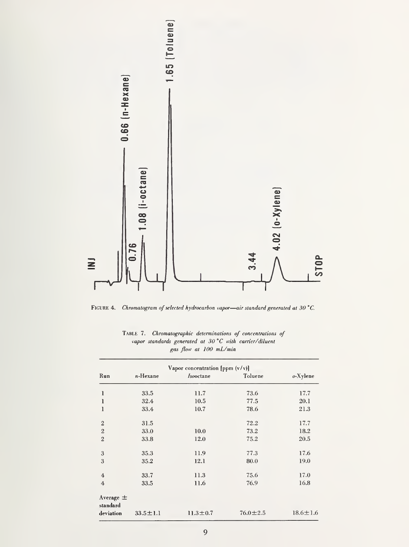

FIGURE 4. Chromatogram of selected hydrocarbon vapor—air standard generated at 30 °C.

|                           |                | Vapor concentration [ppm $(v/v)$ ] |                |                |
|---------------------------|----------------|------------------------------------|----------------|----------------|
| Run                       | $n$ -Hexane    | <i>Isooctane</i>                   | Toluene        | $o$ -Xylene    |
| l                         | 33.5           | 11.7                               | 73.6           | 17.7           |
| l                         | 32.4           | 10.5                               | 77.5           | 20.1           |
| 1                         | 33.4           | 10.7                               | 78.6           | 21.3           |
| $\mathbf{2}$              | 31.5           |                                    | 72.2           | 17.7           |
| $\sqrt{2}$                | 33.0           | 10.0                               | 73.2           | 18.2           |
| $\overline{2}$            | 33.8           | 12.0                               | 75.2           | 20.5           |
| 3                         | 35.3           | 11.9                               | 77.3           | 17.6           |
| 3                         | 35.2           | 12.1                               | 80.0           | 19.0           |
| $\overline{4}$            | 33.7           | 11.3                               | 75.6           | 17.0           |
| $\overline{4}$            | 33.5           | 11.6                               | 76.9           | 16.8           |
| Average $\pm$<br>standard |                |                                    |                |                |
| deviation                 | $33.5 \pm 1.1$ | $11.3 \pm 0.7$                     | $76.0 \pm 2.5$ | $18.6 \pm 1.6$ |

Table 7. Chromatographic determinations of concentrations of vapor standards generated at 30 °C with carrier/diluent gas flow at 100 mL/min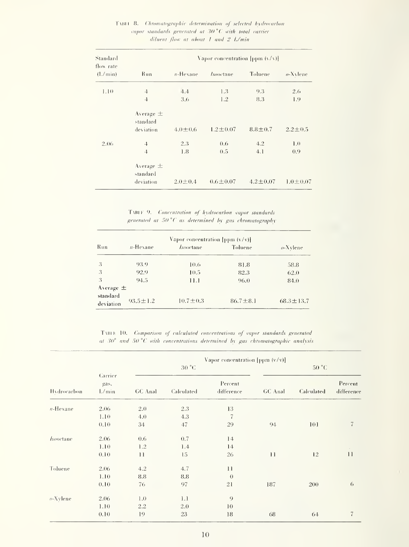| Standard              |                                        | Vapor concentration [ppm $(y/x)$ ] |                  |                |                |  |  |
|-----------------------|----------------------------------------|------------------------------------|------------------|----------------|----------------|--|--|
| flow rate<br>(l./min) | <b>Run</b>                             | $n$ -Hexane                        | <i>Isovetane</i> | Toluene        | $o$ -Xylene    |  |  |
| 1.10                  | $\ddot{4}$<br>$\ddot{4}$               | 4.4<br>3.6                         | 1.3<br>1.2       | 9.3<br>8.3     | 2.6<br>1.9     |  |  |
|                       | Average $\pm$<br>standard<br>deviation | $4.0 \pm 0.6$                      | $1.2 \pm 0.07$   | $8.8 \pm 0.7$  | $2.2 \pm 0.5$  |  |  |
| 2.06                  | $\ddot{4}$<br>$\ddot{+}$               | 2.3<br>1.8                         | 0.6<br>0.5       | 4.2<br>4.1     | 1.0<br>0.9     |  |  |
|                       | Average $\pm$<br>standard<br>deviation | $2.0 \pm 0.4$                      | $0.6 \pm 0.07$   | $4.2 \pm 0.07$ | $1.0 \pm 0.07$ |  |  |

#### TABLE 8. Chromatographic determination of selected hydrocarbon vapor standards generated at 30 °C with total carrier diluent flow at about 1 and 2 L/min

TABLE 9. Concentration of hydrocarbon vapor standards generated at 50°C as determined by gas chromatography

|                       | Vapor concentration [ppm $(v/v)$ ] |                  |                |                 |  |  |  |  |
|-----------------------|------------------------------------|------------------|----------------|-----------------|--|--|--|--|
| <b>Run</b>            | $n$ -Hexane                        | <i>Isooctane</i> | Toluene        | $o$ -Xylene     |  |  |  |  |
| -3                    | 93.9                               | 10.6             | 81.8           | 58.8            |  |  |  |  |
| -3                    | 92.9                               | 10.5             | 82.3           | 62.0            |  |  |  |  |
| $\mathbf{3}$          | 94.5                               | 11.1             | 96.0           | 84.0            |  |  |  |  |
| Average $\pm$         |                                    |                  |                |                 |  |  |  |  |
| standard<br>deviation | $93.5 \pm 1.2$                     | $10.7 \pm 0.3$   | $86.7 \pm 8.1$ | $68.3 \pm 13.7$ |  |  |  |  |

TABLE 10. Comparison of calculated concentrations of vapor standards generated at  $30^{\circ}$  and  $50^{\circ}$ C with concentrations determined by gas chromatographic analysis

|                  | Vapor concentration [ppm $(v/v)$ ]<br>30 °C |         | 50 °C      |                       |         |            |                       |
|------------------|---------------------------------------------|---------|------------|-----------------------|---------|------------|-----------------------|
| Hydrocarbon      | Carrier<br>gas.<br>L/min                    | GC Anal | Calculated | Percent<br>difference | GC Anal | Calculated | Percent<br>difference |
| $n$ -Hexane      | 2.06                                        | 2.0     | 2.3        | 13                    |         |            |                       |
|                  | 1.10                                        | 4.0     | 4.3        | $\overline{7}$        |         |            |                       |
|                  | 0.10                                        | 34      | 47         | 29                    | 94      | 101        | $\overline{7}$        |
| <i>Isooctane</i> | 2.06                                        | 0.6     | 0.7        | 14                    |         |            |                       |
|                  | 1.10                                        | 1.2     | 1.4        | 14                    |         |            |                       |
|                  | 0.10                                        | $_{11}$ | 15         | 26                    | 11      | 12         | 11                    |
| Toluene          | 2.06                                        | 4.2     | 4.7        | 11                    |         |            |                       |
|                  | 1.10                                        | 8.8     | 8.8        | $\theta$              |         |            |                       |
|                  | 0.10                                        | 76      | 97         | 21                    | 187     | 200        | 6                     |
| $o$ -Xylene      | 2.06                                        | 1.0     | 1.1        | 9                     |         |            |                       |
|                  | 1.10                                        | 2.2     | 2.0        | 10                    |         |            |                       |
|                  | 0.10                                        | 19      | 23         | 18                    | 68      | 64         | $\sqrt{ }$            |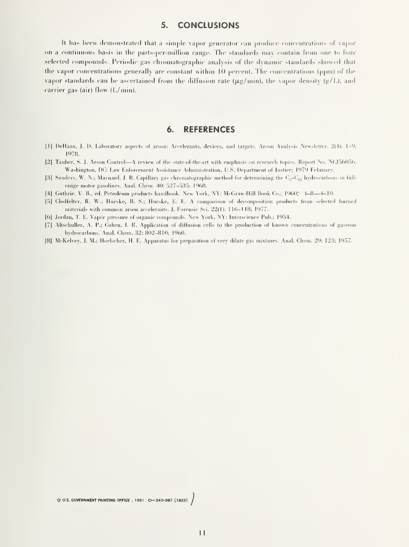#### 5. CONCLUSIONS

It has been demonstrated that a simple vapor generator can produce concentrations of vapor on a continuous basis in the parts-per-million range. The standards may contain from one to four selected compounds. Periodic gas chromatographic analysis of the dynamic standards showed that the vapor concentrations generally are constant within  $10$  percent. The concentrations (ppm) of the vapor standards can be ascertained from the diffusion rate ( $\mu g/min$ ), the vapor density (g/L), and carrier gas (air) flow (L/min).

#### 6. REFERENCES

- |1| DeHaan. J. I). Lalioratory asperts of arson: Accelerants, ilevices. and targets. Arson Analysis Newsletter. 2(4): 1-9; 1978.
- |2| Tauber, S. J. Arson Control —<sup>A</sup> review of the state-of-the-art with emphasis on research topics. Report No. N(J.560.S6. Washington, DC: Law Enforcement Assistance Administration, U.S. Department of Justice; 1979 Tehnuary.
- [3] Sanders, W. N.; Maynard, J. B. Capillary gas chromatographic method for determining the  $C_3-C_{12}$  hydrocarbons in fullrange motor gasolines. Anal. Chem. 40: 527-535; 1968.
- [4] Guthrie, V. B., ed. Petroleum products handbook. New York, NY: McGraw-Hill Book Co.; I960: 4-8—4-10.
- [.5] Clodfelter, R. W.; Hueske, B. S.; Hueske, E. E. A comparison of decomposition |)roducts from selected burned materials with common arson accelerants. J. Forensic Sci. 22(1): 116-118; 1977.
- |6] Jordan. T. E. Vapor pressure of organic compounds. New York. NY: Interscience Pub.; 1954.
- [7] Altschuller. A. P.; Cohen, 1. R. Application of diffusion cells to the production of known concentrations of gaseous hydrocarbons. Anal. Chem. 32: 802-810; 1960.
- [8] McKelvey, J. M.; Hoelscher, H. E. Apparatus for preparation of very dilute gas mixtures. Anal. Chem. 29: 123; 1957.

 $\overleftrightarrow{x}$  US. GOVERNMENT PRINTING OFFICE : 1981 0-340-997 (1828)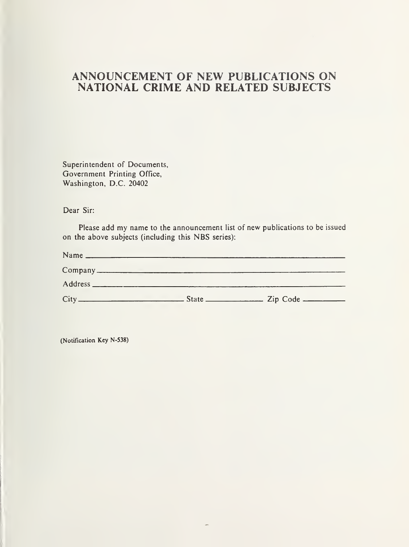### ANNOUNCEMENT OF NEW PUBLICATIONS ON NATIONAL CRIME AND RELATED SUBJECTS

Superintendent of Documents, Government Printing Office, Washington, D.C. 20402

Dear Sir:

Please add my name to the announcement list of new publications to be issued on the above subjects (including this NBS series):

(Notification Key N-538)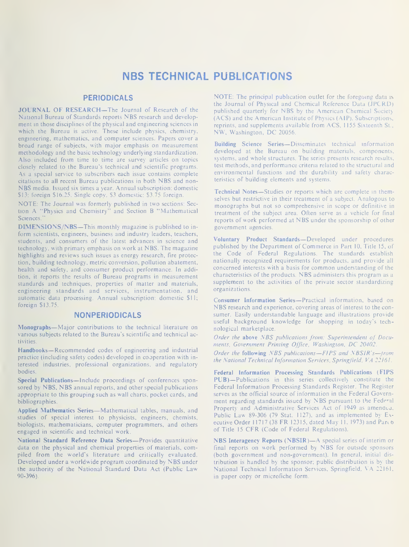## NBS TECHNICAL PUBLICATIONS

#### PERIODICALS

JOURNAL OF RESEARCH—The Journal of Research of the National Bureau of Standards reports NBS research and develop ment in those disciplines of the physical and engineering sciences in which the Bureau is active. These include physics, chemistry, engineering, mathematics, and computer sciences. Papers cover a broad range of subjects, with major emphasis on measurement methodology and the basic technology underlying standardization. Also included from time to time are survey articles on topics closely related to the Bureau's technical and scientific programs. As a special service to subscribers each issue contains complete citations to all recent Bureau publications in both NBS and non- NBS media. Issued six times <sup>a</sup> year. Annual subscription: domestic \$13; foreign \$16.25. Single copy. \$3 domestic: \$3.75 foreign.

NOTE: The Journal was formerly published in two sections: Section A "Physics and Chemistry" and Section B "Mathematical Sciences."

DIMENSIONS/NBS—This monthly magazine is published to inform scientists, engineers, business and industry leaders, teachers, students, and consumers of the latest advances in science and technology, with primary emphasis on work at NBS. The magazine highlights and reviews such issues as energy research, fire protection, building technology, metric conversion, pollution abatement, health and safety, and consumer product performance. In addition, it reports the results of Bureau programs in measurement standards and techniques, properties of matter and materials, engineering standards and services, instrumentation, and automatic data processing. Annual subscription: domestic \$11; foreign \$13.75.

#### NONPERIODICALS

Monographs—Major contributions to the technical literature on various subjects related to the Bureau's scientific and technical activities.

Handbooks—Recommended codes of engineering and industrial practice (including safety codes) developed in cooperation with in terested industries, professional organizations, and regulatory bodies.

Special Publications—Include proceedings of conferences sponsored by NBS, NBS annual reports, and other special publications appropriate to this grouping such as wall charts, pocket cards, and bibliographies.

Applied Mathematics Series—Mathematical tables, manuals, and studies of special interest to physicists, engineers, chemists, biologists, mathematicians, computer programmers, and others engaged in scientific and technical work.

National Standard Reference Data Series—Provides quantitative data on the physical and chemical properties of materials, compiled from the world's literature and critically evaluated. Developed under <sup>a</sup> worldwide program coordinated by NBS under the authority of the National Standard Data Act (Public Law 90-396).

NOTE: The principal publication outlet for the foregoing data is the Journal of Physical and Chemical Reference Data (JPCRD) published quarterly for NBS by the American Chemical Society (ACS) and the American Institute of Physics (AlP). Subscriptions, reprints, and supplements available from ACS, <sup>1</sup> 155 Sixteenth St., NW, Washington. DC 20056.

Building Science Series—Disseminates technical information developed at the Bureau on building materials, components, systems, and whole structures. The series presents research results, test methods, and performance criteria related to the structural and environmental functions and the durability and safety characteristics of building elements and systems.

Technical Notes—Studies or reports which are complete in themselves but restrictive in their treatment of a subject. Analogous to monographs but not so comprehensive in scope or definitive in treatment of the subject area. Often serve as a vehicle for final reports of work performed at NBS under the sponsorship of other government agencies.

Voluntary Product Standards—Developed under procedures published by the Department of Commerce in Part 10, Title 15, of the Code of Federal Regulations. The standards establish nationally recognized requirements for products, and provide all concerned interests with <sup>a</sup> basis for common understanding of the characteristics of the products. NBS administers this program as <sup>a</sup> supplement to the activities of the private sector standardizing organizations.

Consumer Information Series—Practical information, based on NBS research and experience, covering areas of interest to the consumer. Easily understandable language and illustrations provide useful background knowledge for shopping in today's technological marketplace.

Order the above NBS publications from: Superintendent of Documents, Government Printing Office, Washington, DC 20402.

Order the following NBS publications—FIPS and NBSIR's—from the National Technical Information Services. Springfield. VA 22161

Federal Information Processing Standards Publications (FIPS PUB)—Publications in this series collectively constitute the Federal Information Processing Standards Register. The Register serves as the official source of information in the Federal Govern ment regarding standards issued by NBS pursuant to the Federal Property and Administrative Services Act of 1949 as amended. Public Law 89-306 (79 Stat. 1127), and as implemented by Executive Order 11717 (38 FR 12315, dated May 11, 1973) and Part 6 of Title <sup>15</sup> CFR (Code of Federal Regulations).

NBS Interagency Reports (NBSIR)—<sup>A</sup> special series of interim or final reports on work performed by NBS for outside sponsors (both government and non-government). In general, initial dis tribution is handled by the sponsor; public distribution is by the National Technical Information Services. Springfield, VA 22161, in paper copy or microfiche form.